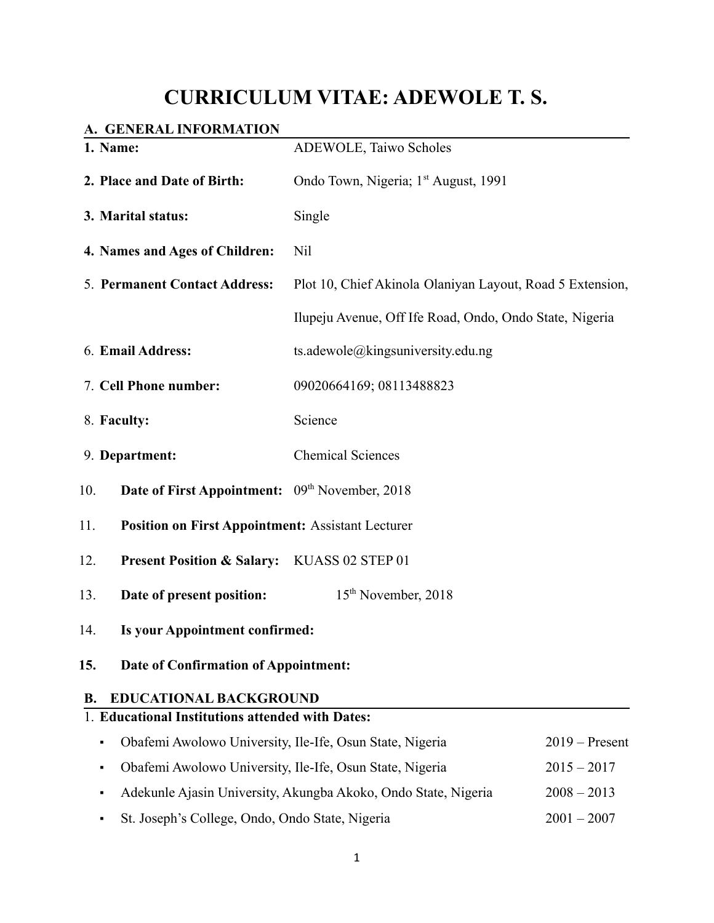# **CURRICULUM VITAE: ADEWOLE T. S.**

# **A. GENERAL INFORMATION**

| 1. Name:                                                                 | ADEWOLE, Taiwo Scholes                                                          |                  |  |
|--------------------------------------------------------------------------|---------------------------------------------------------------------------------|------------------|--|
| 2. Place and Date of Birth:                                              | Ondo Town, Nigeria; 1 <sup>st</sup> August, 1991                                |                  |  |
| 3. Marital status:                                                       | Single                                                                          |                  |  |
| 4. Names and Ages of Children:                                           | Nil                                                                             |                  |  |
| 5. Permanent Contact Address:                                            | Plot 10, Chief Akinola Olaniyan Layout, Road 5 Extension,                       |                  |  |
|                                                                          | Ilupeju Avenue, Off Ife Road, Ondo, Ondo State, Nigeria                         |                  |  |
| 6. Email Address:                                                        | ts.adewole@kingsuniversity.edu.ng                                               |                  |  |
| 7. Cell Phone number:                                                    | 09020664169; 08113488823                                                        |                  |  |
| 8. Faculty:                                                              | Science                                                                         |                  |  |
| 9. Department:                                                           | <b>Chemical Sciences</b>                                                        |                  |  |
| 10.<br><b>Date of First Appointment:</b> 09 <sup>th</sup> November, 2018 |                                                                                 |                  |  |
| 11.<br><b>Position on First Appointment: Assistant Lecturer</b>          |                                                                                 |                  |  |
| 12.<br>Present Position & Salary: KUASS 02 STEP 01                       |                                                                                 |                  |  |
| 13.<br>Date of present position:                                         | 15 <sup>th</sup> November, 2018                                                 |                  |  |
| 14.                                                                      | Is your Appointment confirmed:                                                  |                  |  |
| 15.                                                                      | Date of Confirmation of Appointment:                                            |                  |  |
| <b>EDUCATIONAL BACKGROUND</b><br><b>B.</b>                               |                                                                                 |                  |  |
| 1. Educational Institutions attended with Dates:                         |                                                                                 |                  |  |
| Obafemi Awolowo University, Ile-Ife, Osun State, Nigeria                 |                                                                                 | $2019 -$ Present |  |
| ٠                                                                        | Obafemi Awolowo University, Ile-Ife, Osun State, Nigeria<br>$2015 - 2017$       |                  |  |
|                                                                          | Adekunle Ajasin University, Akungba Akoko, Ondo State, Nigeria<br>$2008 - 2013$ |                  |  |

▪ St. Joseph's College, Ondo, Ondo State, Nigeria 2001 – 2007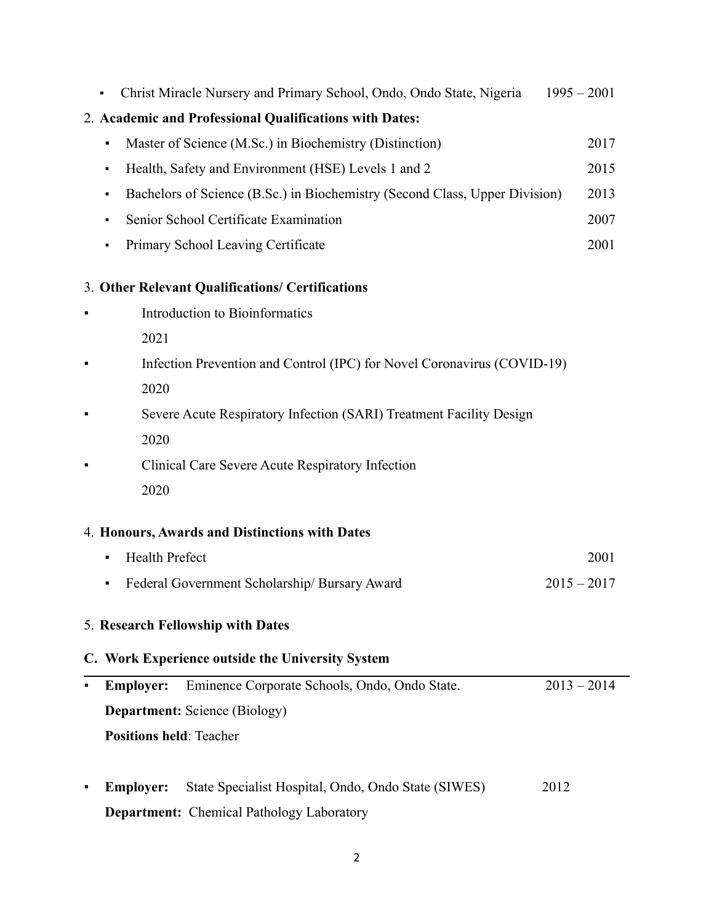| Christ Miracle Nursery and Primary School, Ondo, Ondo State, Nigeria<br>$1995 - 2001$ |      |  |
|---------------------------------------------------------------------------------------|------|--|
| 2. Academic and Professional Qualifications with Dates:                               |      |  |
| Master of Science (M.Sc.) in Biochemistry (Distinction)<br>٠                          | 2017 |  |
| Health, Safety and Environment (HSE) Levels 1 and 2<br>٠                              | 2015 |  |
| Bachelors of Science (B.Sc.) in Biochemistry (Second Class, Upper Division)<br>٠      | 2013 |  |
| Senior School Certificate Examination<br>٠                                            | 2007 |  |
| Primary School Leaving Certificate<br>٠                                               | 2001 |  |
| 3. Other Relevant Qualifications/ Certifications                                      |      |  |
| Introduction to Bioinformatics                                                        |      |  |
| 2021                                                                                  |      |  |
| Infection Prevention and Control (IPC) for Novel Coronavirus (COVID-19)               |      |  |
| 2020                                                                                  |      |  |
| Severe Acute Respiratory Infection (SARI) Treatment Facility Design                   |      |  |
| 2020                                                                                  |      |  |
| Clinical Care Severe Acute Respiratory Infection                                      |      |  |
| 2020                                                                                  |      |  |
| 4. Honours, Awards and Distinctions with Dates                                        |      |  |
| <b>Health Prefect</b><br>٠                                                            | 2001 |  |
| Federal Government Scholarship/ Bursary Award<br>$2015 - 2017$<br>٠                   |      |  |
| 5. Research Fellowship with Dates                                                     |      |  |
| C. Work Experience outside the University System                                      |      |  |
| Eminence Corporate Schools, Ondo, Ondo State.<br>$2013 - 2014$<br><b>Employer:</b>    |      |  |
| <b>Department:</b> Science (Biology)                                                  |      |  |
| <b>Positions held: Teacher</b>                                                        |      |  |
|                                                                                       |      |  |
| State Specialist Hospital, Ondo, Ondo State (SIWES)<br>2012<br><b>Employer:</b>       |      |  |
| <b>Department:</b> Chemical Pathology Laboratory                                      |      |  |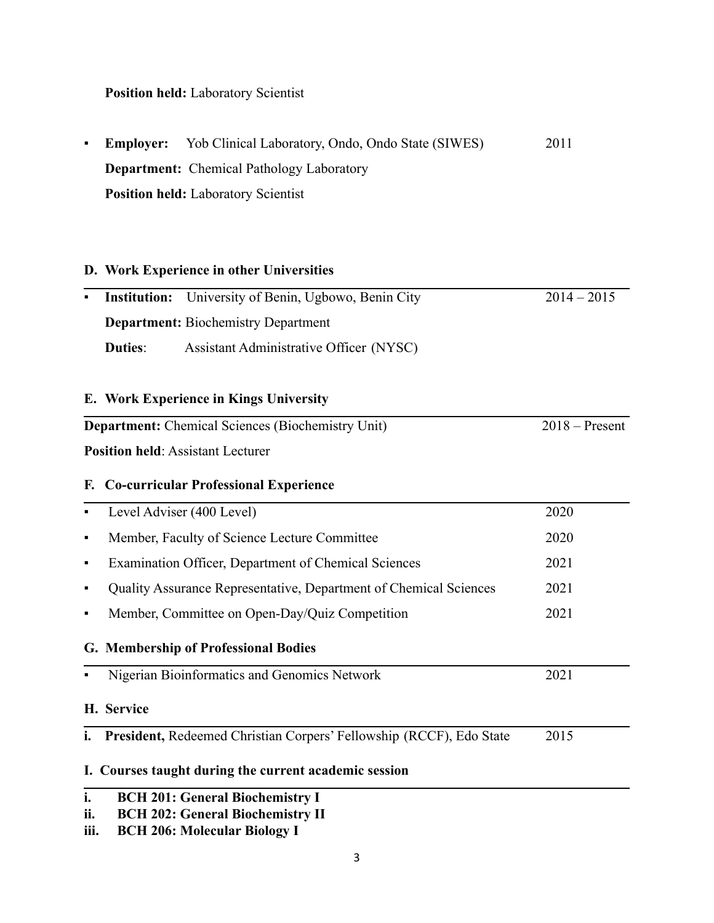**Position held:** Laboratory Scientist

|  | • Employer: Yob Clinical Laboratory, Ondo, Ondo State (SIWES) | 2011 |
|--|---------------------------------------------------------------|------|
|  | <b>Department:</b> Chemical Pathology Laboratory              |      |
|  | <b>Position held:</b> Laboratory Scientist                    |      |

# **D. Work Experience in other Universities**

| $\blacksquare$ | <b>Institution:</b>                        | University of Benin, Ugbowo, Benin City                  | $2014 - 2015$    |
|----------------|--------------------------------------------|----------------------------------------------------------|------------------|
|                | <b>Department:</b> Biochemistry Department |                                                          |                  |
|                | <b>Duties:</b>                             | Assistant Administrative Officer (NYSC)                  |                  |
|                |                                            |                                                          |                  |
|                |                                            | E. Work Experience in Kings University                   |                  |
|                |                                            | <b>Department:</b> Chemical Sciences (Biochemistry Unit) | $2018 -$ Present |
|                |                                            | <b>Position held: Assistant Lecturer</b>                 |                  |
|                |                                            | F. Co-curricular Professional Experience                 |                  |
| Е              |                                            | Level Adviser (400 Level)                                | 2020             |
| $\blacksquare$ |                                            | Member, Faculty of Science Lecture Committee             | 2020             |

| $\blacksquare$ | Examination Officer, Department of Chemical Sciences                       | 2021 |  |
|----------------|----------------------------------------------------------------------------|------|--|
| п              | Quality Assurance Representative, Department of Chemical Sciences          | 2021 |  |
| $\blacksquare$ | Member, Committee on Open-Day/Quiz Competition                             | 2021 |  |
|                | G. Membership of Professional Bodies                                       |      |  |
|                | Nigerian Bioinformatics and Genomics Network                               | 2021 |  |
|                | H. Service                                                                 |      |  |
| i.             | <b>President, Redeemed Christian Corpers' Fellowship (RCCF), Edo State</b> | 2015 |  |

# **I. Courses taught during the current academic session**

# **ii. BCH 202: General Biochemistry II**

**iii. BCH 206: Molecular Biology I**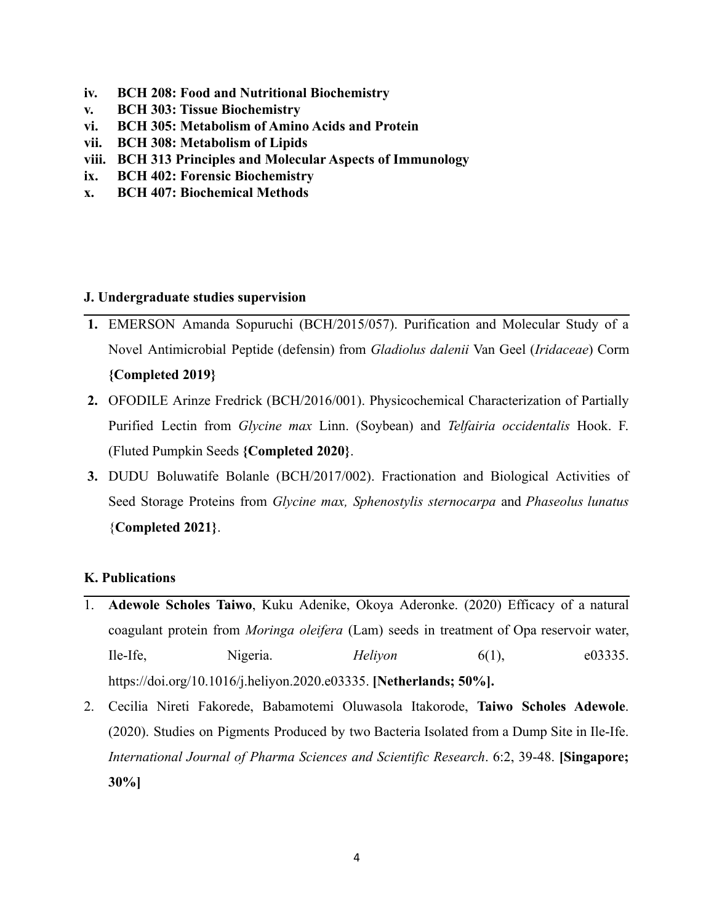- **iv. BCH 208: Food and Nutritional Biochemistry**
- **v. BCH 303: Tissue Biochemistry**
- **vi. BCH 305: Metabolism of Amino Acids and Protein**
- **vii. BCH 308: Metabolism of Lipids**
- **viii. BCH 313 Principles and Molecular Aspects of Immunology**
- **ix. BCH 402: Forensic Biochemistry**
- **x. BCH 407: Biochemical Methods**

#### **J. Undergraduate studies supervision**

- **1.** EMERSON Amanda Sopuruchi (BCH/2015/057). Purification and Molecular Study of a Novel Antimicrobial Peptide (defensin) from *Gladiolus dalenii* Van Geel (*Iridaceae*) Corm **{Completed 2019}**
- **2.** OFODILE Arinze Fredrick (BCH/2016/001). Physicochemical Characterization of Partially Purified Lectin from *Glycine max* Linn. (Soybean) and *Telfairia occidentalis* Hook. F. (Fluted Pumpkin Seeds **{Completed 2020}**.
- **3.** DUDU Boluwatife Bolanle (BCH/2017/002). Fractionation and Biological Activities of Seed Storage Proteins from *Glycine max, Sphenostylis sternocarpa* and *Phaseolus lunatus* {**Completed 2021}**.

# **K. Publications**

- 1. **Adewole Scholes Taiwo**, Kuku Adenike, Okoya Aderonke. (2020) Efficacy of a natural coagulant protein from *Moringa oleifera* (Lam) seeds in treatment of Opa reservoir water, Ile-Ife, Nigeria. *Heliyon* 6(1), e03335. https://doi.org/10.1016/j.heliyon.2020.e03335. **[Netherlands; 50%].**
- 2. Cecilia Nireti Fakorede, Babamotemi Oluwasola Itakorode, **Taiwo Scholes Adewole**. (2020). Studies on Pigments Produced by two Bacteria Isolated from a Dump Site in Ile-Ife. *International Journal of Pharma Sciences and Scientific Research*. 6:2, 39-48. **[Singapore; 30%]**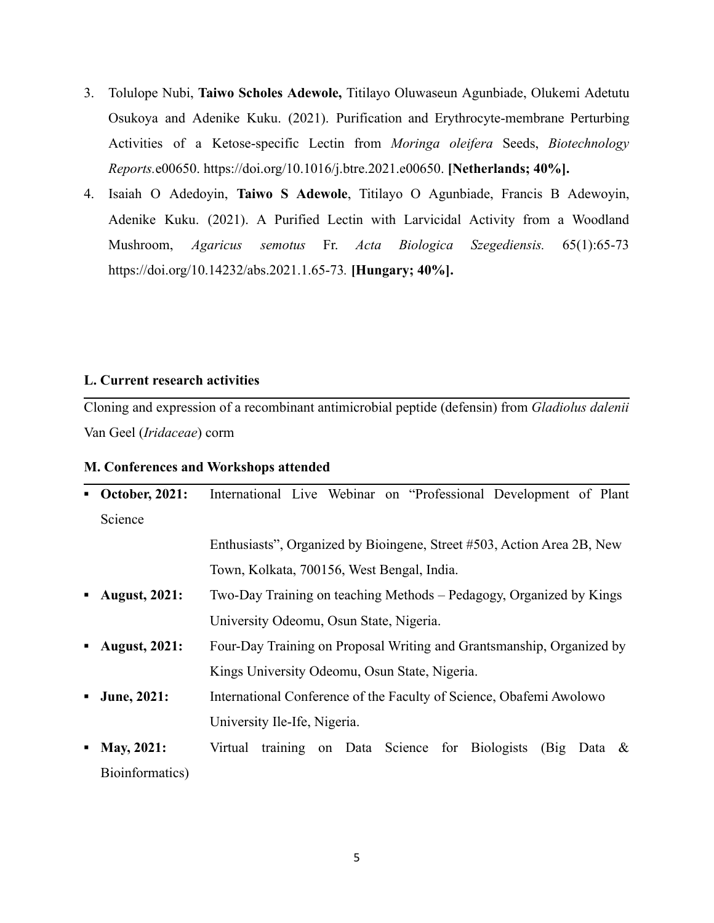- 3. Tolulope Nubi, **Taiwo Scholes Adewole,** Titilayo Oluwaseun Agunbiade, Olukemi Adetutu Osukoya and Adenike Kuku. (2021). Purification and Erythrocyte-membrane Perturbing Activities of a Ketose-specific Lectin from *Moringa oleifera* Seeds, *Biotechnology Reports.*e00650. <https://doi.org/10.1016/j.btre.2021.e00650>. **[Netherlands; 40%].**
- 4. Isaiah O Adedoyin, **Taiwo S Adewole**, Titilayo O Agunbiade, Francis B Adewoyin, Adenike Kuku. (2021). A Purified Lectin with Larvicidal Activity from a Woodland Mushroom, *Agaricus semotus* Fr. *Acta Biologica Szegediensis.* 65(1):65-73 <https://doi.org/10.14232/abs.2021.1.65-73>*.* **[Hungary; 40%].**

#### **L. Current research activities**

Cloning and expression of a recombinant antimicrobial peptide (defensin) from *Gladiolus dalenii* Van Geel (*Iridaceae*) corm

#### **M. Conferences and Workshops attended**

| п.      | <b>October, 2021:</b> | International Live Webinar on "Professional Development of Plant       |  |
|---------|-----------------------|------------------------------------------------------------------------|--|
| Science |                       |                                                                        |  |
|         |                       | Enthusiasts", Organized by Bioingene, Street #503, Action Area 2B, New |  |
|         |                       | Town, Kolkata, 700156, West Bengal, India.                             |  |
| ٠       | <b>August, 2021:</b>  | Two-Day Training on teaching Methods – Pedagogy, Organized by Kings    |  |
|         |                       | University Odeomu, Osun State, Nigeria.                                |  |
| ٠       | <b>August, 2021:</b>  | Four-Day Training on Proposal Writing and Grantsmanship, Organized by  |  |
|         |                       | Kings University Odeomu, Osun State, Nigeria.                          |  |
| ٠       | June, 2021:           | International Conference of the Faculty of Science, Obafemi Awolowo    |  |
|         |                       | University Ile-Ife, Nigeria.                                           |  |
| ٠       | <b>May, 2021:</b>     | training on Data Science for Biologists<br>Virtual<br>$(Big$ Data &    |  |
|         | Bioinformatics)       |                                                                        |  |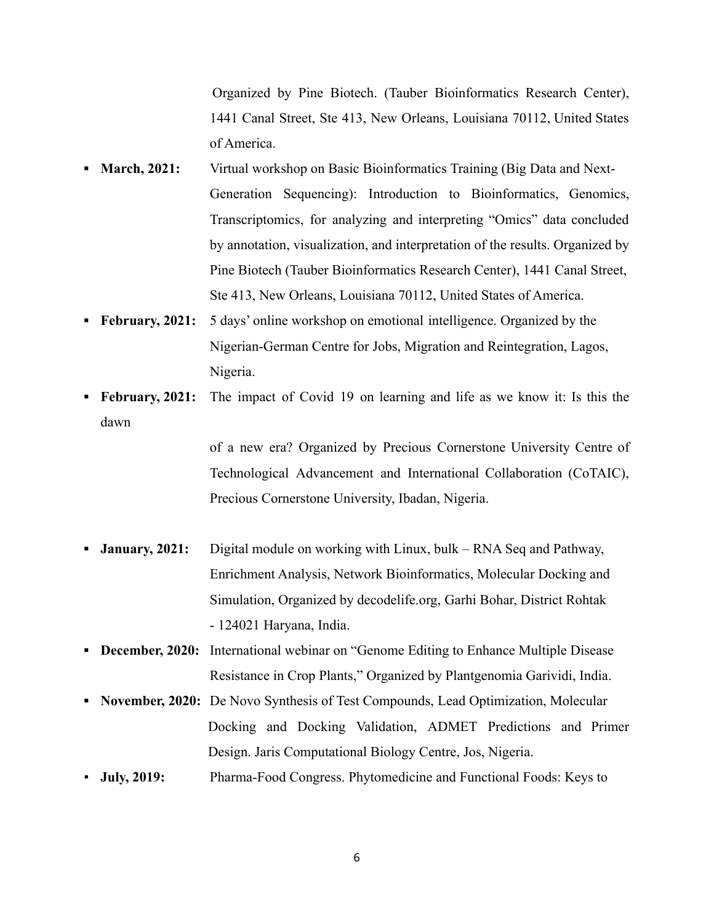Organized by Pine Biotech. (Tauber Bioinformatics Research Center), 1441 Canal Street, Ste 413, New Orleans, Louisiana 70112, United States of America.

- **March, 2021:** Virtual workshop on Basic Bioinformatics Training (Big Data and Next-Generation Sequencing): Introduction to Bioinformatics, Genomics, Transcriptomics, for analyzing and interpreting "Omics" data concluded by annotation, visualization, and interpretation of the results. Organized by Pine Biotech (Tauber Bioinformatics Research Center), 1441 Canal Street, Ste 413, New Orleans, Louisiana 70112, United States of America.
- **• February, 2021:** 5 days' online workshop on emotional intelligence. Organized by the Nigerian-German Centre for Jobs, Migration and Reintegration, Lagos, Nigeria.
- **▪ February, 2021:** The impact of Covid 19 on learning and life as we know it: Is this the dawn

of a new era? Organized by Precious Cornerstone University Centre of Technological Advancement and International Collaboration (CoTAIC), Precious Cornerstone University, Ibadan, Nigeria.

- **January, 2021:** Digital module on working with Linux, bulk RNA Seq and Pathway, Enrichment Analysis, Network Bioinformatics, Molecular Docking and Simulation, Organized by decodelife.org, Garhi Bohar, District Rohtak - 124021 Haryana, India.
- **▪ December, 2020:** International webinar on "Genome Editing to Enhance Multiple Disease Resistance in Crop Plants," Organized by Plantgenomia Garividi, India.
- **▪ November, 2020:** De Novo Synthesis of Test Compounds, Lead Optimization, Molecular Docking and Docking Validation, ADMET Predictions and Primer Design. Jaris Computational Biology Centre, Jos, Nigeria.
- **July, 2019:** Pharma-Food Congress. Phytomedicine and Functional Foods: Keys to

6